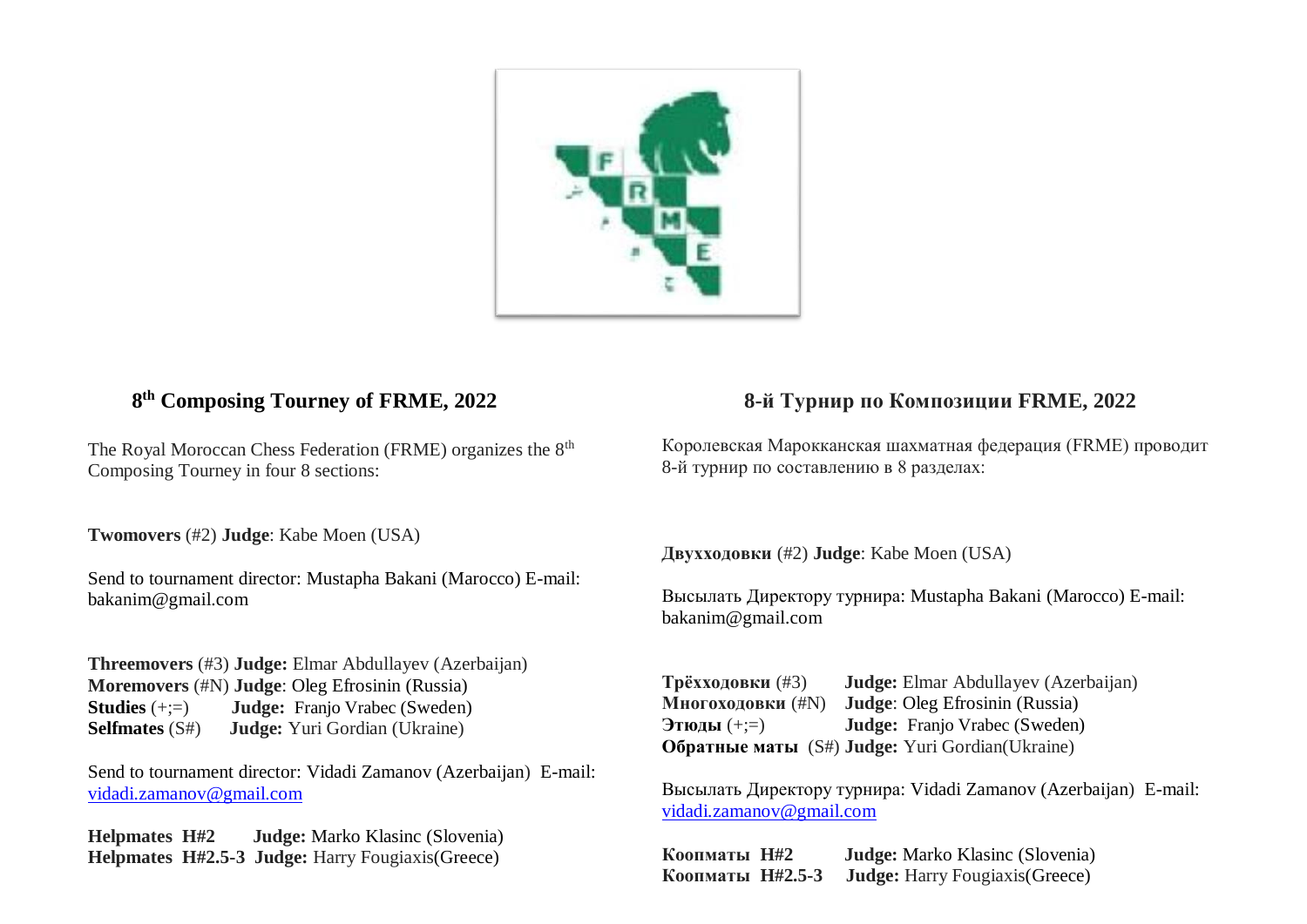

## **8 th Composing Tourney of FRME, 2022**

The Royal Moroccan Chess Federation (FRME) organizes the  $8<sup>th</sup>$ Composing Tourney in four 8 sections:

**Twomovers** (#2) **Judge**: Kabe Moen (USA)

Send to tournament director: Mustapha Bakani (Marocco) E-mail: bakanim@gmail.com

**Threemovers** (#3) **Judge:** Elmar Abdullayev (Azerbaijan) **Moremovers** (#N) **Judge**: Oleg Efrosinin (Russia) **Studies** (+;=) **Judge:** Franjo Vrabec (Sweden) **Selfmates** (S#) **Judge:** Yuri Gordian (Ukraine)

Send to tournament director: Vidadi Zamanov (Azerbaijan) E-mail: [vidadi.zamanov@gmail.com](mailto:vidadi.zamanov@gmail.com)

**Helpmates H#2 Judge:** Marko Klasinc (Slovenia) **Helpmates H#2.5-3 Judge:** Harry Fougiaxis(Greece)

## **8-й Турнир по Композиции FRME, 2022**

Королевская Марокканская шахматная федерация (FRME) проводит 8-й турнир по составлению в 8 разделах:

**Двухходовки** (#2) **Judge**: Kabe Moen (USA)

Высылать Директору турнира: Mustapha Bakani (Marocco) E-mail: bakanim@gmail.com

**Трёхходовки** (#3) **Judge:** Elmar Abdullayev (Azerbaijan) **Многоходовки** (#N) **Judge**: Oleg Efrosinin (Russia) **Этюды** (+;=) **Judge:** Franjo Vrabec (Sweden) **Обратные маты** (S#) **Judge:** Yuri Gordian(Ukraine)

Высылать Директору турнира: Vidadi Zamanov (Azerbaijan) E-mail: [vidadi.zamanov@gmail.com](mailto:vidadi.zamanov@gmail.com)

**Коопматы H#2 Judge:** Marko Klasinc (Slovenia) **Коопматы H#2.5-3 Judge:** Harry Fougiaxis(Greece)